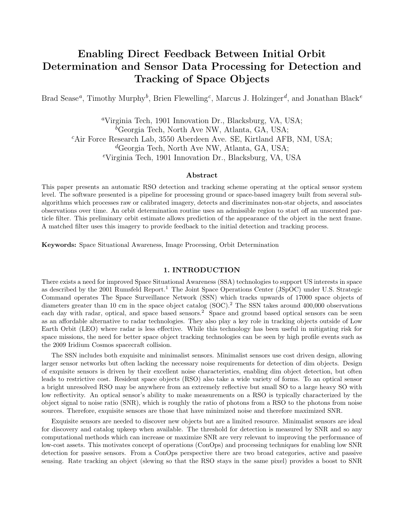# Enabling Direct Feedback Between Initial Orbit Determination and Sensor Data Processing for Detection and Tracking of Space Objects

Brad Sease<sup>*a*</sup>, Timothy Murphy<sup>b</sup>, Brien Flewelling<sup>c</sup>, Marcus J. Holzinger<sup>d</sup>, and Jonathan Black<sup>e</sup>

<sup>a</sup>Virginia Tech, 1901 Innovation Dr., Blacksburg, VA, USA; <sup>b</sup>Georgia Tech, North Ave NW, Atlanta, GA, USA;  ${}^{c}$ Air Force Research Lab, 3550 Aberdeen Ave. SE, Kirtland AFB, NM, USA; <sup>d</sup>Georgia Tech, North Ave NW, Atlanta, GA, USA; <sup>e</sup>Virginia Tech, 1901 Innovation Dr., Blacksburg, VA, USA

#### Abstract

This paper presents an automatic RSO detection and tracking scheme operating at the optical sensor system level. The software presented is a pipeline for processing ground or space-based imagery built from several subalgorithms which processes raw or calibrated imagery, detects and discriminates non-star objects, and associates observations over time. An orbit determination routine uses an admissible region to start off an unscented particle filter. This preliminary orbit estimate allows prediction of the appearance of the object in the next frame. A matched filter uses this imagery to provide feedback to the initial detection and tracking process.

Keywords: Space Situational Awareness, Image Processing, Orbit Determination

#### 1. INTRODUCTION

There exists a need for improved Space Situational Awareness (SSA) technologies to support US interests in space as described by the 2001 Rumsfeld Report.<sup>1</sup> The Joint Space Operations Center (JSpOC) under U.S. Strategic Command operates The Space Surveillance Network (SSN) which tracks upwards of 17000 space objects of diameters greater than 10 cm in the space object catalog (SOC).<sup>2</sup> The SSN takes around 400,000 observations each day with radar, optical, and space based sensors.<sup>2</sup> Space and ground based optical sensors can be seen as an affordable alternative to radar technologies. They also play a key role in tracking objects outside of Low Earth Orbit (LEO) where radar is less effective. While this technology has been useful in mitigating risk for space missions, the need for better space object tracking technologies can be seen by high profile events such as the 2009 Iridium Cosmos spacecraft collision.

The SSN includes both exquisite and minimalist sensors. Minimalist sensors use cost driven design, allowing larger sensor networks but often lacking the necessary noise requirements for detection of dim objects. Design of exquisite sensors is driven by their excellent noise characteristics, enabling dim object detection, but often leads to restrictive cost. Resident space objects (RSO) also take a wide variety of forms. To an optical sensor a bright unresolved RSO may be anywhere from an extremely reflective but small SO to a large heavy SO with low reflectivity. An optical sensor's ability to make measurements on a RSO is typically characterized by the object signal to noise ratio (SNR), which is roughly the ratio of photons from a RSO to the photons from noise sources. Therefore, exquisite sensors are those that have minimized noise and therefore maximized SNR.

Exquisite sensors are needed to discover new objects but are a limited resource. Minimalist sensors are ideal for discovery and catalog upkeep when available. The threshold for detection is measured by SNR and so any computational methods which can increase or maximize SNR are very relevant to improving the performance of low-cost assets. This motivates concept of operations (ConOps) and processing techniques for enabling low SNR detection for passive sensors. From a ConOps perspective there are two broad categories, active and passive sensing. Rate tracking an object (slewing so that the RSO stays in the same pixel) provides a boost to SNR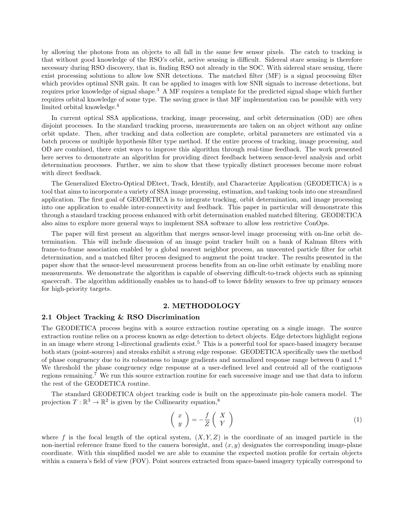by allowing the photons from an objects to all fall in the same few sensor pixels. The catch to tracking is that without good knowledge of the RSO's orbit, active sensing is difficult. Sidereal stare sensing is therefore necessary during RSO discovery, that is, finding RSO not already in the SOC. With sidereal stare sensing, there exist processing solutions to allow low SNR detections. The matched filter (MF) is a signal processing filter which provides optimal SNR gain. It can be applied to images with low SNR signals to increase detections, but requires prior knowledge of signal shape.<sup>3</sup> A MF requires a template for the predicted signal shape which further requires orbital knowledge of some type. The saving grace is that MF implementation can be possible with very limited orbital knowledge.<sup>4</sup>

In current optical SSA applications, tracking, image processing, and orbit determination (OD) are often disjoint processes. In the standard tracking process, measurements are taken on an object without any online orbit update. Then, after tracking and data collection are complete, orbital parameters are estimated via a batch process or multiple hypothesis filter type method. If the entire process of tracking, image processing, and OD are combined, there exist ways to improve this algorithm through real-time feedback. The work presented here serves to demonstrate an algorithm for providing direct feedback between sensor-level analysis and orbit determination processes. Further, we aim to show that these typically distinct processes become more robust with direct feedback.

The Generalized Electro-Optical DEtect, Track, Identify, and Characterize Application (GEODETICA) is a tool that aims to incorporate a variety of SSA image processing, estimation, and tasking tools into one streamlined application. The first goal of GEODETICA is to integrate tracking, orbit determination, and image processing into one application to enable inter-connectivity and feedback. This paper in particular will demonstrate this through a standard tracking process enhanced with orbit determination enabled matched filtering. GEODETICA also aims to explore more general ways to implement SSA software to allow less restrictive ConOps.

The paper will first present an algorithm that merges sensor-level image processing with on-line orbit determination. This will include discussion of an image point tracker built on a bank of Kalman filters with frame-to-frame association enabled by a global nearest neighbor process, an unscented particle filter for orbit determination, and a matched filter process designed to augment the point tracker. The results presented in the paper show that the sensor-level measurement process benefits from an on-line orbit estimate by enabling more measurements. We demonstrate the algorithm is capable of observing difficult-to-track objects such as spinning spacecraft. The algorithm additionally enables us to hand-off to lower fidelity sensors to free up primary sensors for high-priority targets.

### 2. METHODOLOGY

#### 2.1 Object Tracking & RSO Discrimination

The GEODETICA process begins with a source extraction routine operating on a single image. The source extraction routine relies on a process known as edge detection to detect objects. Edge detectors highlight regions in an image where strong 1-directional gradients exist.<sup>5</sup> This is a powerful tool for space-based imagery because both stars (point-sources) and streaks exhibit a strong edge response. GEODETICA specifically uses the method of phase congruency due to its robustness to image gradients and normalized response range between  $0$  and  $1<sup>6</sup>$ We threshold the phase congruency edge response at a user-defined level and centroid all of the contiguous regions remaining.<sup>7</sup> We run this source extraction routine for each successive image and use that data to inform the rest of the GEODETICA routine.

The standard GEODETICA object tracking code is built on the approximate pin-hole camera model. The projection  $T : \mathbb{R}^3 \to \mathbb{R}^2$  is given by the Collinearity equation,<sup>8</sup>

$$
\left(\begin{array}{c} x \\ y \end{array}\right) = -\frac{f}{Z} \left(\begin{array}{c} X \\ Y \end{array}\right) \tag{1}
$$

where f is the focal length of the optical system,  $(X, Y, Z)$  is the coordinate of an imaged particle in the non-inertial reference frame fixed to the camera boresight, and  $(x, y)$  designates the corresponding image-plane coordinate. With this simplified model we are able to examine the expected motion profile for certain objects within a camera's field of view (FOV). Point sources extracted from space-based imagery typically correspond to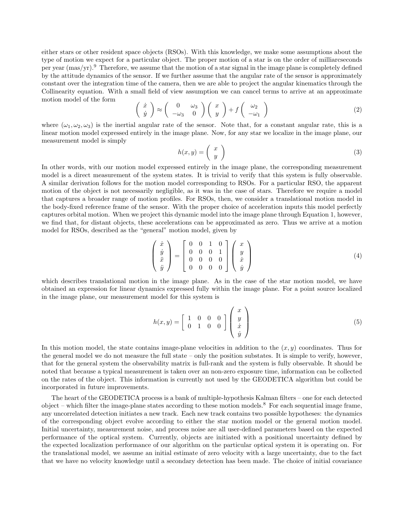either stars or other resident space objects (RSOs). With this knowledge, we make some assumptions about the type of motion we expect for a particular object. The proper motion of a star is on the order of milliarcseconds per year  $(mas/yr)^{9}$ . Therefore, we assume that the motion of a star signal in the image plane is completely defined by the attitude dynamics of the sensor. If we further assume that the angular rate of the sensor is approximately constant over the integration time of the camera, then we are able to project the angular kinematics through the Collinearity equation. With a small field of view assumption we can cancel terms to arrive at an approximate motion model of the form

$$
\begin{pmatrix}\n\dot{x} \\
\dot{y}\n\end{pmatrix} \approx \begin{pmatrix}\n0 & \omega_3 \\
-\omega_3 & 0\n\end{pmatrix} \begin{pmatrix}\nx \\
y\n\end{pmatrix} + f \begin{pmatrix}\n\omega_2 \\
-\omega_1\n\end{pmatrix}
$$
\n(2)

where  $(\omega_1, \omega_2, \omega_3)$  is the inertial angular rate of the sensor. Note that, for a constant angular rate, this is a linear motion model expressed entirely in the image plane. Now, for any star we localize in the image plane, our measurement model is simply

$$
h(x,y) = \left(\begin{array}{c} x \\ y \end{array}\right) \tag{3}
$$

In other words, with our motion model expressed entirely in the image plane, the corresponding measurement model is a direct measurement of the system states. It is trivial to verify that this system is fully observable. A similar derivation follows for the motion model corresponding to RSOs. For a particular RSO, the apparent motion of the object is not necessarily negligible, as it was in the case of stars. Therefore we require a model that captures a broader range of motion profiles. For RSOs, then, we consider a translational motion model in the body-fixed reference frame of the sensor. With the proper choice of acceleration inputs this model perfectly captures orbital motion. When we project this dynamic model into the image plane through Equation 1, however, we find that, for distant objects, these accelerations can be approximated as zero. Thus we arrive at a motion model for RSOs, described as the "general" motion model, given by

$$
\begin{pmatrix} \dot{x} \\ \dot{y} \\ \ddot{x} \\ \ddot{y} \end{pmatrix} = \begin{bmatrix} 0 & 0 & 1 & 0 \\ 0 & 0 & 0 & 1 \\ 0 & 0 & 0 & 0 \\ 0 & 0 & 0 & 0 \end{bmatrix} \begin{pmatrix} x \\ y \\ \dot{x} \\ \dot{y} \end{pmatrix}
$$
 (4)

which describes translational motion in the image plane. As in the case of the star motion model, we have obtained an expression for linear dynamics expressed fully within the image plane. For a point source localized in the image plane, our measurement model for this system is

$$
h(x,y) = \begin{bmatrix} 1 & 0 & 0 & 0 \\ 0 & 1 & 0 & 0 \end{bmatrix} \begin{pmatrix} x \\ y \\ \dot{x} \\ \dot{y} \end{pmatrix} \tag{5}
$$

In this motion model, the state contains image-plane velocities in addition to the  $(x, y)$  coordinates. Thus for the general model we do not measure the full state – only the position substates. It is simple to verify, however, that for the general system the observability matrix is full-rank and the system is fully observable. It should be noted that because a typical measurement is taken over an non-zero exposure time, information can be collected on the rates of the object. This information is currently not used by the GEODETICA algorithm but could be incorporated in future improvements.

The heart of the GEODETICA process is a bank of multiple-hypothesis Kalman filters – one for each detected object – which filter the image-plane states according to these motion models.<sup>8</sup> For each sequential image frame, any uncorrelated detection initiates a new track. Each new track contains two possible hypotheses: the dynamics of the corresponding object evolve according to either the star motion model or the general motion model. Initial uncertainty, measurement noise, and process noise are all user-defined parameters based on the expected performance of the optical system. Currently, objects are initiated with a positional uncertainty defined by the expected localization performance of our algorithm on the particular optical system it is operating on. For the translational model, we assume an initial estimate of zero velocity with a large uncertainty, due to the fact that we have no velocity knowledge until a secondary detection has been made. The choice of initial covariance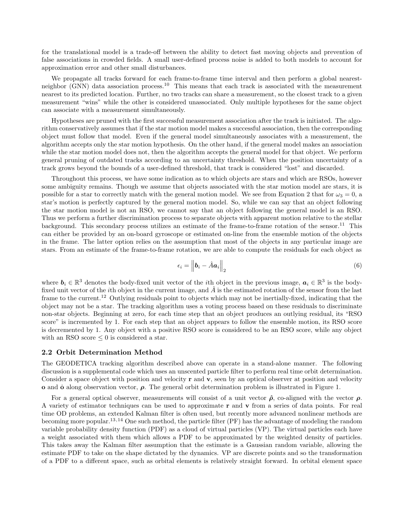for the translational model is a trade-off between the ability to detect fast moving objects and prevention of false associations in crowded fields. A small user-defined process noise is added to both models to account for approximation error and other small disturbances.

We propagate all tracks forward for each frame-to-frame time interval and then perform a global nearestneighbor (GNN) data association process.<sup>10</sup> This means that each track is associated with the measurement nearest to its predicted location. Further, no two tracks can share a measurement, so the closest track to a given measurement "wins" while the other is considered unassociated. Only multiple hypotheses for the same object can associate with a measurement simultaneously.

Hypotheses are pruned with the first successful measurement association after the track is initiated. The algorithm conservatively assumes that if the star motion model makes a successful association, then the corresponding object must follow that model. Even if the general model simultaneously associates with a measurement, the algorithm accepts only the star motion hypothesis. On the other hand, if the general model makes an association while the star motion model does not, then the algorithm accepts the general model for that object. We perform general pruning of outdated tracks according to an uncertainty threshold. When the position uncertainty of a track grows beyond the bounds of a user-defined threshold, that track is considered "lost" and discarded.

Throughout this process, we have some indication as to which objects are stars and which are RSOs, however some ambiguity remains. Though we assume that objects associated with the star motion model are stars, it is possible for a star to correctly match with the general motion model. We see from Equation 2 that for  $\omega_3 = 0$ , a star's motion is perfectly captured by the general motion model. So, while we can say that an object following the star motion model is not an RSO, we cannot say that an object following the general model is an RSO. Thus we perform a further discrimination process to separate objects with apparent motion relative to the stellar background. This secondary process utilizes an estimate of the frame-to-frame rotation of the sensor.<sup>11</sup> This can either be provided by an on-board gyroscope or estimated on-line from the ensemble motion of the objects in the frame. The latter option relies on the assumption that most of the objects in any particular image are stars. From an estimate of the frame-to-frame rotation, we are able to compute the residuals for each object as

$$
\epsilon_i = \left\| \boldsymbol{b}_i - \hat{A} \boldsymbol{a}_i \right\|_2 \tag{6}
$$

where  $b_i \in \mathbb{R}^3$  denotes the body-fixed unit vector of the *i*th object in the previous image,  $a_i \in \mathbb{R}^3$  is the bodyfixed unit vector of the *i*th object in the current image, and  $\hat{A}$  is the estimated rotation of the sensor from the last frame to the current.<sup>12</sup> Outlying residuals point to objects which may not be inertially-fixed, indicating that the object may not be a star. The tracking algorithm uses a voting process based on these residuals to discriminate non-star objects. Beginning at zero, for each time step that an object produces an outlying residual, its "RSO score" is incremented by 1. For each step that an object appears to follow the ensemble motion, its RSO score is decremented by 1. Any object with a positive RSO score is considered to be an RSO score, while any object with an RSO score  $\leq 0$  is considered a star.

#### 2.2 Orbit Determination Method

The GEODETICA tracking algorithm described above can operate in a stand-alone manner. The following discussion is a supplemental code which uses an unscented particle filter to perform real time orbit determination. Consider a space object with position and velocity  $\bf{r}$  and  $\bf{v}$ , seen by an optical observer at position and velocity **o** and **o** along observation vector,  $\rho$ . The general orbit determination problem is illustrated in Figure 1.

For a general optical observer, measurements will consist of a unit vector  $\hat{\rho}$ , co-aligned with the vector  $\rho$ . A variety of estimator techniques can be used to approximate  $\bf{r}$  and  $\bf{v}$  from a series of data points. For real time OD problems, an extended Kalman filter is often used, but recently more advanced nonlinear methods are becoming more popular.<sup>13</sup>,<sup>14</sup> One such method, the particle filter (PF) has the advantage of modeling the random variable probability density function (PDF) as a cloud of virtual particles (VP). The virtual particles each have a weight associated with them which allows a PDF to be approximated by the weighted density of particles. This takes away the Kalman filter assumption that the estimate is a Gaussian random variable, allowing the estimate PDF to take on the shape dictated by the dynamics. VP are discrete points and so the transformation of a PDF to a different space, such as orbital elements is relatively straight forward. In orbital element space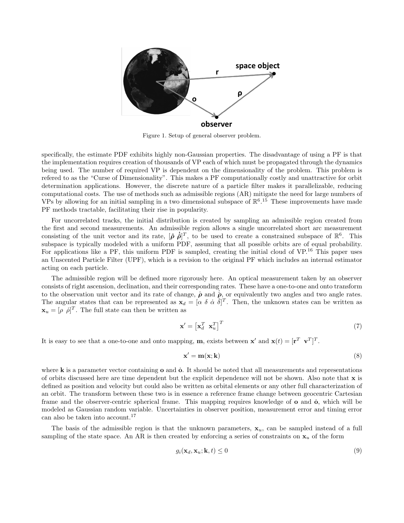

Figure 1. Setup of general observer problem.

specifically, the estimate PDF exhibits highly non-Gaussian properties. The disadvantage of using a PF is that the implementation requires creation of thousands of VP each of which must be propagated through the dynamics being used. The number of required VP is dependent on the dimensionality of the problem. This problem is refered to as the "Curse of Dimensionality". This makes a PF computationally costly and unattractive for orbit determination applications. However, the discrete nature of a particle filter makes it parallelizable, reducing computational costs. The use of methods such as admissible regions (AR) mitigate the need for large numbers of VPs by allowing for an initial sampling in a two dimensional subspace of  $\mathbb{R}^6$ .<sup>15</sup> These improvements have made PF methods tractable, facilitating their rise in popularity.

For uncorrelated tracks, the initial distribution is created by sampling an admissible region created from the first and second measurements. An admissible region allows a single uncorrelated short arc measurement consisting of the unit vector and its rate,  $[\hat{\rho} \dot{\hat{\rho}}]^T$ , to be used to create a constrained subspace of  $\mathbb{R}^6$ . This subspace is typically modeled with a uniform PDF, assuming that all possible orbits are of equal probability. For applications like a PF, this uniform PDF is sampled, creating the initial cloud of VP.<sup>16</sup> This paper uses an Unscented Particle Filter (UPF), which is a revision to the original PF which includes an internal estimator acting on each particle.

The admissible region will be defined more rigorously here. An optical measurement taken by an observer consists of right ascension, declination, and their corresponding rates. These have a one-to-one and onto transform to the observation unit vector and its rate of change,  $\hat{\rho}$  and  $\hat{\rho}$ , or equivalently two angles and two angle rates. The angular states that can be represented as  $\mathbf{x}_d = [\alpha \ \delta \ \dot{\alpha} \ \dot{\delta}]^T$ . Then, the unknown states can be written as  $\mathbf{x}_u = [\rho \dot{\rho}]^T$ . The full state can then be written as

$$
\mathbf{x}' = \begin{bmatrix} \mathbf{x}_d^T & \mathbf{x}_u^T \end{bmatrix}^T \tag{7}
$$

It is easy to see that a one-to-one and onto mapping, **m**, exists between **x'** and **x**(*t*) =  $[\mathbf{r}^T \ \mathbf{v}^T]^T$ .

$$
\mathbf{x}' = \mathbf{m}(\mathbf{x}; \mathbf{k})\tag{8}
$$

where  $\bf{k}$  is a parameter vector containing  $\bf{o}$  and  $\bf{o}$ . It should be noted that all measurements and representations of orbits discussed here are time dependent but the explicit dependence will not be shown. Also note that x is defined as position and velocity but could also be written as orbital elements or any other full characterization of an orbit. The transform between these two is in essence a reference frame change between geocentric Cartesian frame and the observer-centric spherical frame. This mapping requires knowledge of **o** and **o**<sup>i</sup>, which will be modeled as Gaussian random variable. Uncertainties in observer position, measurement error and timing error can also be taken into account.<sup>17</sup>

The basis of the admissible region is that the unknown parameters,  $x_u$ , can be sampled instead of a full sampling of the state space. An AR is then created by enforcing a series of constraints on  $x_u$  of the form

$$
g_i(\mathbf{x}_d, \mathbf{x}_u; \mathbf{k}, t) \le 0 \tag{9}
$$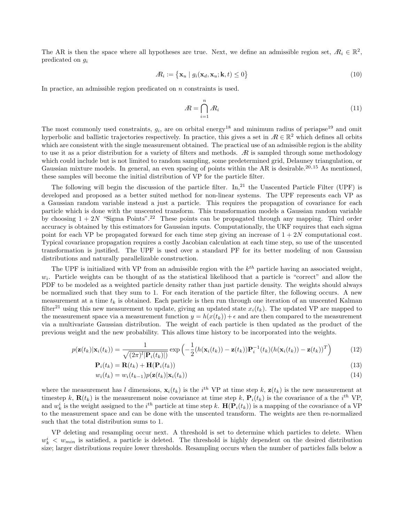The AR is then the space where all hypotheses are true. Next, we define an admissible region set,  $\mathbb{R}_i \in \mathbb{R}^2$ , predicated on  $q_i$ 

$$
A_i := \{ \mathbf{x}_u \mid g_i(\mathbf{x}_d, \mathbf{x}_u; \mathbf{k}, t) \le 0 \}
$$
\n<sup>(10)</sup>

In practice, an admissible region predicated on n constraints is used.

$$
A = \bigcap_{i=1}^{n} A_i \tag{11}
$$

The most commonly used constraints,  $g_i$ , are on orbital energy<sup>18</sup> and minimum radius of periapse<sup>19</sup> and omit hyperbolic and ballistic trajectories respectively. In practice, this gives a set in  $\mathbb{R} \in \mathbb{R}^2$  which defines all orbits which are consistent with the single measurement obtained. The practical use of an admissible region is the ability to use it as a prior distribution for a variety of filters and methods.  $\mathcal{R}$  is sampled through some methodology which could include but is not limited to random sampling, some predetermined grid, Delauney triangulation, or Gaussian mixture models. In general, an even spacing of points within the AR is desirable.<sup>20,15</sup> As mentioned, these samples will become the initial distribution of VP for the particle filter.

The following will begin the discussion of the particle filter. In,<sup>21</sup> the Unscented Particle Filter (UPF) is developed and proposed as a better suited method for non-linear systems. The UPF represents each VP as a Gaussian random variable instead a just a particle. This requires the propagation of covariance for each particle which is done with the unscented transform. This transformation models a Gaussian random variable by choosing  $1 + 2N$  "Sigma Points".<sup>22</sup> These points can be propagated through any mapping. Third order accuracy is obtained by this estimators for Gaussian inputs. Computationally, the UKF requires that each sigma point for each VP be propagated forward for each time step giving an increase of  $1 + 2N$  computational cost. Typical covariance propagation requires a costly Jacobian calculation at each time step, so use of the unscented transformation is justified. The UPF is used over a standard PF for its better modeling of non Gaussian distributions and naturally parallelizable construction.

The UPF is initialized with VP from an admissible region with the  $k^{th}$  particle having an associated weight,  $w_i$ . Particle weights can be thought of as the statistical likelihood that a particle is "correct" and allow the PDF to be modeled as a weighted particle density rather than just particle density. The weights should always be normalized such that they sum to 1. For each iteration of the particle filter, the following occurs. A new measurement at a time  $t_k$  is obtained. Each particle is then run through one iteration of an unscented Kalman filter<sup>21</sup> using this new measurement to update, giving an updated state  $x_i(t_k)$ . The updated VP are mapped to the measurement space via a measurement function  $y = h(x(t_k)) + \epsilon$  and are then compared to the measurement via a multivariate Gaussian distribution. The weight of each particle is then updated as the product of the previous weight and the new probability. This allows time history to be incorporated into the weights.

$$
p(\mathbf{z}(t_k)|\mathbf{x}_i(t_k)) = \frac{1}{\sqrt{(2\pi)^l |\mathbf{P}_i(t_k)|)}} \exp\left(-\frac{1}{2}(h(\mathbf{x}_i(t_k)) - \mathbf{z}(t_k))\mathbf{P}_i^{-1}(t_k)(h(\mathbf{x}_i(t_k)) - \mathbf{z}(t_k))^T\right)
$$
(12)

$$
\mathbf{P}_i(t_k) = \mathbf{R}(t_k) + \mathbf{H}(\mathbf{P}_i(t_k))
$$
\n(13)

$$
w_i(t_k) = w_i(t_{k-1})p(\mathbf{z}(t_k)|\mathbf{x}_i(t_k))
$$
\n(14)

where the measurement has l dimensions,  $\mathbf{x}_i(t_k)$  is the  $i^{th}$  VP at time step k,  $\mathbf{z}(t_k)$  is the new measurement at timestep k,  $\mathbf{R}(t_k)$  is the measurement noise covariance at time step k,  $\mathbf{P}_i(t_k)$  is the covariance of a the i<sup>th</sup> VP, and  $w_k^i$  is the weight assigned to the  $i^{th}$  particle at time step k.  $\mathbf{H}(\mathbf{P}_i(t_k))$  is a mapping of the covariance of a VP to the measurement space and can be done with the unscented transform. The weights are then re-normalized such that the total distribution sums to 1.

VP deleting and resampling occur next. A threshold is set to determine which particles to delete. When  $w_k^i$   $\langle w_{min}$  is satisfied, a particle is deleted. The threshold is highly dependent on the desired distribution size; larger distributions require lower thresholds. Resampling occurs when the number of particles falls below a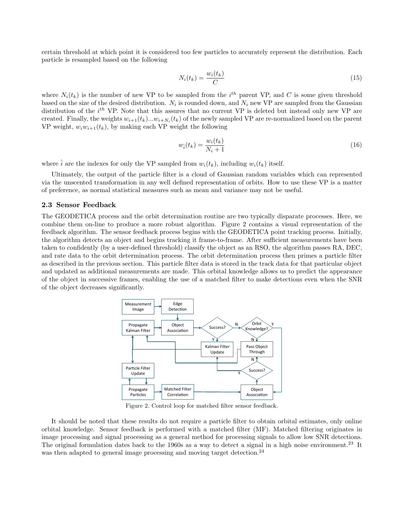certain threshold at which point it is considered too few particles to accurately represent the distribution. Each particle is resampled based on the following

$$
N_i(t_k) = \frac{w_i(t_k)}{C} \tag{15}
$$

where  $N_i(t_k)$  is the number of new VP to be sampled from the  $i^{th}$  parent VP, and C is some given threshold based on the size of the desired distribution.  $N_i$  is rounded down, and  $N_i$  new VP are sampled from the Gaussian distribution of the  $i^{th}$  VP. Note that this assures that no current VP is deleted but instead only new VP are created. Finally, the weights  $w_{i+1}(t_k)...w_{i+N_i}(t_k)$  of the newly sampled VP are re-normalized based on the parent VP weight,  $w_i w_{i+1}(t_k)$ , by making each VP weight the following

$$
w_i(t_k) = \frac{w_i(t_k)}{N_i + 1} \tag{16}
$$

where  $\hat{i}$  are the indexes for only the VP sampled from  $w_i(t_k)$ , including  $w_i(t_k)$  itself.

Ultimately, the output of the particle filter is a cloud of Gaussian random variables which can represented via the unscented transformation in any well defined representation of orbits. How to use these VP is a matter of preference, as normal statistical measures such as mean and variance may not be useful.

#### 2.3 Sensor Feedback

The GEODETICA process and the orbit determination routine are two typically disparate processes. Here, we combine them on-line to produce a more robust algorithm. Figure 2 contains a visual representation of the feedback algorithm. The sensor feedback process begins with the GEODETICA point tracking process. Initially, the algorithm detects an object and begins tracking it frame-to-frame. After sufficient measurements have been taken to confidently (by a user-defined threshold) classify the object as an RSO, the algorithm passes RA, DEC, and rate data to the orbit determination process. The orbit determination process then primes a particle filter as described in the previous section. This particle filter data is stored in the track data for that particular object and updated as additional measurements are made. This orbital knowledge allows us to predict the appearance of the object in successive frames, enabling the use of a matched filter to make detections even when the SNR of the object decreases significantly.



Figure 2. Control loop for matched filter sensor feedback.

It should be noted that these results do not require a particle filter to obtain orbital estimates, only online orbital knowledge. Sensor feedback is performed with a matched filter (MF). Matched filtering originates in image processing and signal processing as a general method for processing signals to allow low SNR detections. The original formulation dates back to the 1960s as a way to detect a signal in a high noise environment.<sup>23</sup> It was then adapted to general image processing and moving target detection.<sup>24</sup>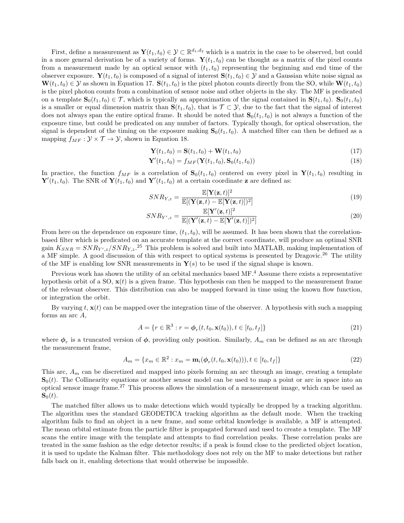First, define a measurement as  $\mathbf{Y}(t_1, t_0) \in \mathcal{Y} \subset \mathbb{R}^{d_1, d_2}$  which is a matrix in the case to be observed, but could in a more general derivation be of a variety of forms.  $\mathbf{Y}(t_1, t_0)$  can be thought as a matrix of the pixel counts from a measurement made by an optical sensor with  $(t_1, t_0)$  representing the beginning and end time of the observer exposure.  $\mathbf{Y}(t_1, t_0)$  is composed of a signal of interest  $\mathbf{S}(t_1, t_0) \in \mathcal{Y}$  and a Gaussian white noise signal as  $\mathbf{W}(t_1, t_0) \in \mathcal{Y}$  as shown in Equation 17.  $\mathbf{S}(t_1, t_0)$  is the pixel photon counts directly from the SO, while  $\mathbf{W}(t_1, t_0)$ is the pixel photon counts from a combination of sensor noise and other objects in the sky. The MF is predicated on a template  $\mathbf{S}_0(t_1, t_0) \in \mathcal{T}$ , which is typically an approximation of the signal contained in  $\mathbf{S}(t_1, t_0)$ .  $\mathbf{S}_0(t_1, t_0)$ is a smaller or equal dimension matrix than  $S(t_1, t_0)$ , that is  $\mathcal{T} \subset \mathcal{Y}$ , due to the fact that the signal of interest does not always span the entire optical frame. It should be noted that  $S_0(t_1, t_0)$  is not always a function of the exposure time, but could be predicated on any number of factors. Typically though, for optical observation, the signal is dependent of the timing on the exposure making  $S_0(t_1, t_0)$ . A matched filter can then be defined as a mapping  $f_{MF}: \mathcal{Y} \times \mathcal{T} \rightarrow \mathcal{Y}$ , shown in Equation 18.

$$
\mathbf{Y}(t_1, t_0) = \mathbf{S}(t_1, t_0) + \mathbf{W}(t_1, t_0)
$$
\n(17)

$$
\mathbf{Y}'(t_1, t_0) = f_{MF}(\mathbf{Y}(t_1, t_0), \mathbf{S}_0(t_1, t_0))
$$
\n(18)

In practice, the function  $f_{MF}$  is a correlation of  $\mathbf{S}_0(t_1, t_0)$  centered on every pixel in  $\mathbf{Y}(t_1, t_0)$  resulting in  ${\bf Y}'(t_1,t_0)$ . The SNR of  ${\bf Y}(t_1,t_0)$  and  ${\bf Y}'(t_1,t_0)$  at a certain coordinate **z** are defined as:

$$
SNR_{Y,z} = \frac{\mathbb{E}[\mathbf{Y}(\mathbf{z},t)]^2}{\mathbb{E}[(\mathbf{Y}(\mathbf{z},t) - \mathbb{E}[\mathbf{Y}(\mathbf{z},t)])^2]}
$$
(19)

$$
SNR_{Y',z} = \frac{\mathbb{E}[\mathbf{Y}'(\mathbf{z},t)]^2}{\mathbb{E}[(\mathbf{Y}'(\mathbf{z},t) - \mathbb{E}[\mathbf{Y}'(\mathbf{z},t)])^2]}
$$
(20)

From here on the dependence on exposure time,  $(t_1, t_0)$ , will be assumed. It has been shown that the correlationbased filter which is predicated on an accurate template at the correct coordinate, will produce an optimal SNR gain  $K_{SNR} = SNR_{Y',z}/SNR_{Y,z}$ <sup>25</sup> This problem is solved and built into MATLAB, making implementation of a MF simple. A good discussion of this with respect to optical systems is presented by Dragovic.<sup>26</sup> The utility of the MF is enabling low SNR measurements in  $Y(s)$  to be used if the signal shape is known.

Previous work has shown the utility of an orbital mechanics based MF.<sup>4</sup> Assume there exists a representative hypothesis orbit of a SO,  $\mathbf{x}(t)$  is a given frame. This hypothesis can then be mapped to the measurement frame of the relevant observer. This distribution can also be mapped forward in time using the known flow function, or integration the orbit.

By varying  $t, \mathbf{x}(t)$  can be mapped over the integration time of the observer. A hypothesis with such a mapping forms an arc  $A$ ,

$$
A = \{r \in \mathbb{R}^3 : r = \phi_r(t, t_0, \mathbf{x}(t_0)), t \in [t_0, t_f]\}\
$$
\n(21)

where  $\phi_r$  is a truncated version of  $\phi$ , providing only position. Similarly,  $A_m$  can be defined as an arc through the measurement frame,

$$
A_m = \{x_m \in \mathbb{R}^2 : x_m = \mathbf{m}_i(\phi_r(t, t_0, \mathbf{x}(t_0))), t \in [t_0, t_f]\}\tag{22}
$$

This arc,  $A_m$  can be discretized and mapped into pixels forming an arc through an image, creating a template  $S_0(t)$ . The Collinearity equations or another sensor model can be used to map a point or arc in space into an optical sensor image frame.<sup>27</sup> This process allows the simulation of a measurement image, which can be used as  $\mathbf{S}_0(t)$ .

The matched filter allows us to make detections which would typically be dropped by a tracking algorithm. The algorithm uses the standard GEODETICA tracking algorithm as the default mode. When the tracking algorithm fails to find an object in a new frame, and some orbital knowledge is available, a MF is attempted. The mean orbital estimate from the particle filter is propagated forward and used to create a template. The MF scans the entire image with the template and attempts to find correlation peaks. These correlation peaks are treated in the same fashion as the edge detector results; if a peak is found close to the predicted object location, it is used to update the Kalman filter. This methodology does not rely on the MF to make detections but rather falls back on it, enabling detections that would otherwise be impossible.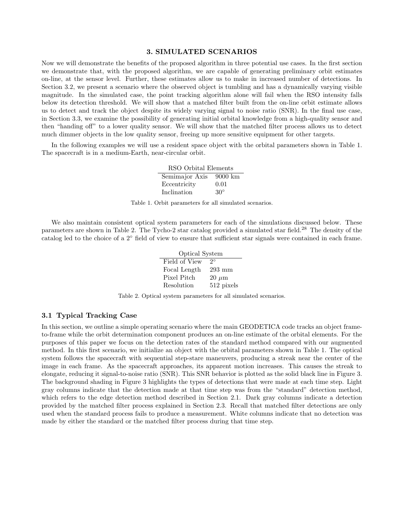#### 3. SIMULATED SCENARIOS

Now we will demonstrate the benefits of the proposed algorithm in three potential use cases. In the first section we demonstrate that, with the proposed algorithm, we are capable of generating preliminary orbit estimates on-line, at the sensor level. Further, these estimates allow us to make in increased number of detections. In Section 3.2, we present a scenario where the observed object is tumbling and has a dynamically varying visible magnitude. In the simulated case, the point tracking algorithm alone will fail when the RSO intensity falls below its detection threshold. We will show that a matched filter built from the on-line orbit estimate allows us to detect and track the object despite its widely varying signal to noise ratio (SNR). In the final use case, in Section 3.3, we examine the possibility of generating initial orbital knowledge from a high-quality sensor and then "handing off" to a lower quality sensor. We will show that the matched filter process allows us to detect much dimmer objects in the low quality sensor, freeing up more sensitive equipment for other targets.

In the following examples we will use a resident space object with the orbital parameters shown in Table 1. The spacecraft is in a medium-Earth, near-circular orbit.

| RSO Orbital Elements |                    |
|----------------------|--------------------|
| Semimajor Axis       | $9000 \mathrm{km}$ |
| Eccentricity         | 0.01               |
| Inclination          | $30^\circ$         |

Table 1. Orbit parameters for all simulated scenarios.

We also maintain consistent optical system parameters for each of the simulations discussed below. These parameters are shown in Table 2. The Tycho-2 star catalog provided a simulated star field.<sup>28</sup> The density of the catalog led to the choice of a 2◦ field of view to ensure that sufficient star signals were contained in each frame.

| Optical System |                  |
|----------------|------------------|
| Field of View  | $2^{\circ}$      |
| Focal Length   | $293 \text{ mm}$ |
| Pixel Pitch    | $20 \mu m$       |
| Resolution     | 512 pixels       |

Table 2. Optical system parameters for all simulated scenarios.

### 3.1 Typical Tracking Case

In this section, we outline a simple operating scenario where the main GEODETICA code tracks an object frameto-frame while the orbit determination component produces an on-line estimate of the orbital elements. For the purposes of this paper we focus on the detection rates of the standard method compared with our augmented method. In this first scenario, we initialize an object with the orbital parameters shown in Table 1. The optical system follows the spacecraft with sequential step-stare maneuvers, producing a streak near the center of the image in each frame. As the spacecraft approaches, its apparent motion increases. This causes the streak to elongate, reducing it signal-to-noise ratio (SNR). This SNR behavior is plotted as the solid black line in Figure 3. The background shading in Figure 3 highlights the types of detections that were made at each time step. Light gray columns indicate that the detection made at that time step was from the "standard" detection method, which refers to the edge detection method described in Section 2.1. Dark gray columns indicate a detection provided by the matched filter process explained in Section 2.3. Recall that matched filter detections are only used when the standard process fails to produce a measurement. White columns indicate that no detection was made by either the standard or the matched filter process during that time step.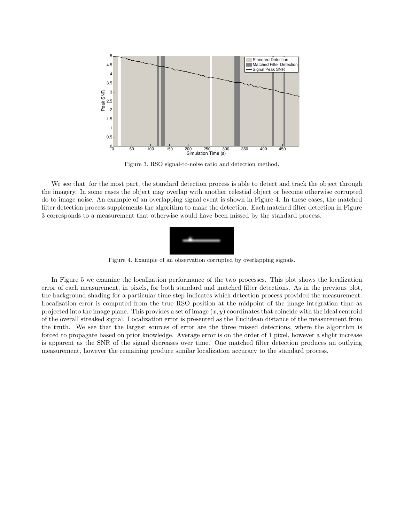

Figure 3. RSO signal-to-noise ratio and detection method.

We see that, for the most part, the standard detection process is able to detect and track the object through the imagery. In some cases the object may overlap with another celestial object or become otherwise corrupted do to image noise. An example of an overlapping signal event is shown in Figure 4. In these cases, the matched filter detection process supplements the algorithm to make the detection. Each matched filter detection in Figure 3 corresponds to a measurement that otherwise would have been missed by the standard process.



Figure 4. Example of an observation corrupted by overlapping signals.

In Figure 5 we examine the localization performance of the two processes. This plot shows the localization error of each measurement, in pixels, for both standard and matched filter detections. As in the previous plot, the background shading for a particular time step indicates which detection process provided the measurement. Localization error is computed from the true RSO position at the midpoint of the image integration time as projected into the image plane. This provides a set of image  $(x, y)$  coordinates that coincide with the ideal centroid of the overall streaked signal. Localization error is presented as the Euclidean distance of the measurement from the truth. We see that the largest sources of error are the three missed detections, where the algorithm is forced to propagate based on prior knowledge. Average error is on the order of 1 pixel, however a slight increase is apparent as the SNR of the signal decreases over time. One matched filter detection produces an outlying measurement, however the remaining produce similar localization accuracy to the standard process.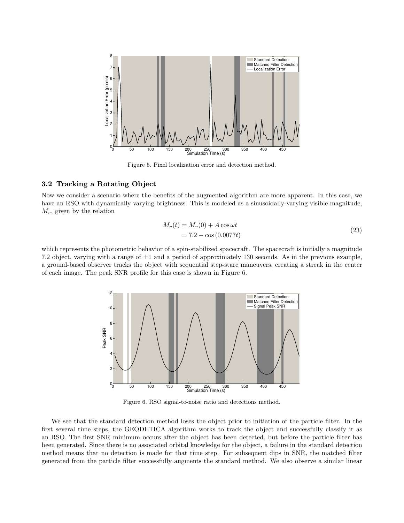

Figure 5. Pixel localization error and detection method.

## 3.2 Tracking a Rotating Object

Now we consider a scenario where the benefits of the augmented algorithm are more apparent. In this case, we have an RSO with dynamically varying brightness. This is modeled as a sinusoidally-varying visible magnitude,  $M_v$ , given by the relation

$$
M_v(t) = M_v(0) + A \cos \omega t
$$
  
= 7.2 - cos (0.0077t) (23)

which represents the photometric behavior of a spin-stabilized spacecraft. The spacecraft is initially a magnitude 7.2 object, varying with a range of  $\pm 1$  and a period of approximately 130 seconds. As in the previous example, a ground-based observer tracks the object with sequential step-stare maneuvers, creating a streak in the center of each image. The peak SNR profile for this case is shown in Figure 6.



Figure 6. RSO signal-to-noise ratio and detections method.

We see that the standard detection method loses the object prior to initiation of the particle filter. In the first several time steps, the GEODETICA algorithm works to track the object and successfully classify it as an RSO. The first SNR minimum occurs after the object has been detected, but before the particle filter has been generated. Since there is no associated orbital knowledge for the object, a failure in the standard detection method means that no detection is made for that time step. For subsequent dips in SNR, the matched filter generated from the particle filter successfully augments the standard method. We also observe a similar linear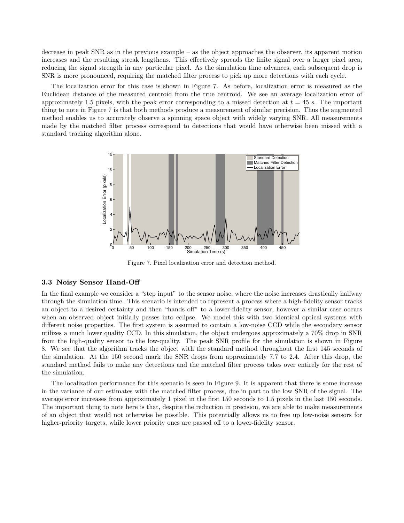decrease in peak SNR as in the previous example – as the object approaches the observer, its apparent motion increases and the resulting streak lengthens. This effectively spreads the finite signal over a larger pixel area, reducing the signal strength in any particular pixel. As the simulation time advances, each subsequent drop is SNR is more pronounced, requiring the matched filter process to pick up more detections with each cycle.

The localization error for this case is shown in Figure 7. As before, localization error is measured as the Euclidean distance of the measured centroid from the true centroid. We see an average localization error of approximately 1.5 pixels, with the peak error corresponding to a missed detection at  $t = 45$  s. The important thing to note in Figure 7 is that both methods produce a measurement of similar precision. Thus the augmented method enables us to accurately observe a spinning space object with widely varying SNR. All measurements made by the matched filter process correspond to detections that would have otherwise been missed with a standard tracking algorithm alone.



Figure 7. Pixel localization error and detection method.

### 3.3 Noisy Sensor Hand-Off

In the final example we consider a "step input" to the sensor noise, where the noise increases drastically halfway through the simulation time. This scenario is intended to represent a process where a high-fidelity sensor tracks an object to a desired certainty and then "hands off" to a lower-fidelity sensor, however a similar case occurs when an observed object initially passes into eclipse. We model this with two identical optical systems with different noise properties. The first system is assumed to contain a low-noise CCD while the secondary sensor utilizes a much lower quality CCD. In this simulation, the object undergoes approximately a 70% drop in SNR from the high-quality sensor to the low-quality. The peak SNR profile for the simulation is shown in Figure 8. We see that the algorithm tracks the object with the standard method throughout the first 145 seconds of the simulation. At the 150 second mark the SNR drops from approximately 7.7 to 2.4. After this drop, the standard method fails to make any detections and the matched filter process takes over entirely for the rest of the simulation.

The localization performance for this scenario is seen in Figure 9. It is apparent that there is some increase in the variance of our estimates with the matched filter process, due in part to the low SNR of the signal. The average error increases from approximately 1 pixel in the first 150 seconds to 1.5 pixels in the last 150 seconds. The important thing to note here is that, despite the reduction in precision, we are able to make measurements of an object that would not otherwise be possible. This potentially allows us to free up low-noise sensors for higher-priority targets, while lower priority ones are passed off to a lower-fidelity sensor.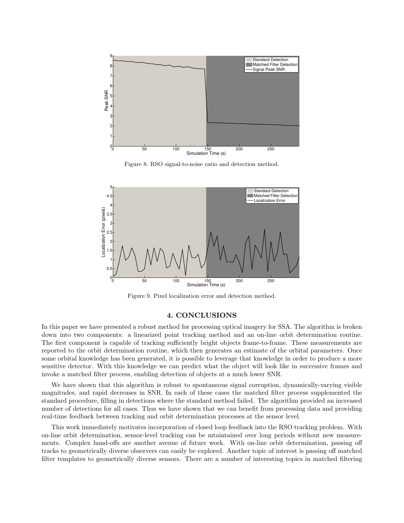

Figure 8. RSO signal-to-noise ratio and detection method.



Figure 9. Pixel localization error and detection method.

### 4. CONCLUSIONS

In this paper we have presented a robust method for processing optical imagery for SSA. The algorithm is broken down into two components: a linearized point tracking method and an on-line orbit determination routine. The first component is capable of tracking sufficiently bright objects frame-to-frame. These measurements are reported to the orbit determination routine, which then generates an estimate of the orbital parameters. Once some orbital knowledge has been generated, it is possible to leverage that knowledge in order to produce a more sensitive detector. With this knowledge we can predict what the object will look like in successive frames and invoke a matched filter process, enabling detection of objects at a much lower SNR.

We have shown that this algorithm is robust to spontaneous signal corruption, dynamically-varying visible magnitudes, and rapid decreases in SNR. In each of these cases the matched filter process supplemented the standard procedure, filling in detections where the standard method failed. The algorithm provided an increased number of detections for all cases. Thus we have shown that we can benefit from processing data and providing real-time feedback between tracking and orbit determination processes at the sensor level.

This work immediately motivates incorporation of closed loop feedback into the RSO tracking problem. With on-line orbit determination, sensor-level tracking can be mtaintained over long periods without new measurements. Complex hand-offs are another avenue of future work. With on-line orbit determination, passing off tracks to geometrically diverse observers can easily be explored. Another topic of interest is passing off matched filter templates to geometrically diverse sensors. There are a number of interesting topics in matched filtering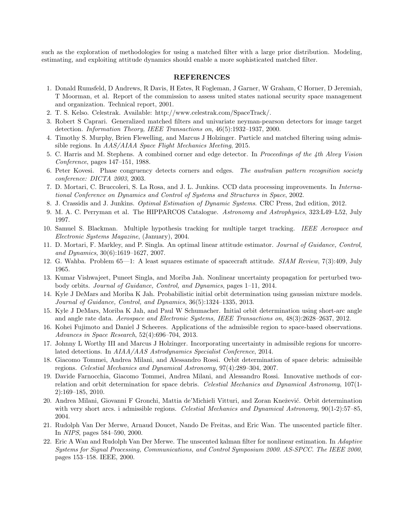such as the exploration of methodologies for using a matched filter with a large prior distribution. Modeling, estimating, and exploiting attitude dynamics should enable a more sophisticated matched filter.

#### REFERENCES

- 1. Donald Rumsfeld, D Andrews, R Davis, H Estes, R Fogleman, J Garner, W Graham, C Horner, D Jeremiah, T Moorman, et al. Report of the commission to assess united states national security space management and organization. Technical report, 2001.
- 2. T. S. Kelso. Celestrak. Available: http://www.celestrak.com/SpaceTrack/.
- 3. Robert S Caprari. Generalized matched filters and univariate neyman-pearson detectors for image target detection. Information Theory, IEEE Transactions on, 46(5):1932–1937, 2000.
- 4. Timothy S. Murphy, Brien Flewelling, and Marcus J Holzinger. Particle and matched filtering using admissible regions. In AAS/AIAA Space Flight Mechanics Meeting, 2015.
- 5. C. Harris and M. Stephens. A combined corner and edge detector. In Proceedings of the 4th Alvey Vision Conference, pages 147–151, 1988.
- 6. Peter Kovesi. Phase congruency detects corners and edges. The australian pattern recognition society conference: DICTA 2003, 2003.
- 7. D. Mortari, C. Bruccoleri, S. La Rosa, and J. L. Junkins. CCD data processing improvements. In International Conference on Dynamics and Control of Systems and Structures in Space, 2002.
- 8. J. Crassidis and J. Junkins. Optimal Estimation of Dynamic Systems. CRC Press, 2nd edition, 2012.
- 9. M. A. C. Perryman et al. The HIPPARCOS Catalogue. Astronomy and Astrophysics, 323:L49–L52, July 1997.
- 10. Samuel S. Blackman. Multiple hypothesis tracking for multiple target tracking. IEEE Aerospace and Electronic Systems Magazine, (January), 2004.
- 11. D. Mortari, F. Markley, and P. Singla. An optimal linear attitude estimator. Journal of Guidance, Control, and Dynamics, 30(6):1619–1627, 2007.
- 12. G. Wahba. Problem 65—1: A least squares estimate of spacecraft attitude. SIAM Review, 7(3):409, July 1965.
- 13. Kumar Vishwajeet, Puneet Singla, and Moriba Jah. Nonlinear uncertainty propagation for perturbed twobody orbits. Journal of Guidance, Control, and Dynamics, pages 1–11, 2014.
- 14. Kyle J DeMars and Moriba K Jah. Probabilistic initial orbit determination using gaussian mixture models. Journal of Guidance, Control, and Dynamics, 36(5):1324–1335, 2013.
- 15. Kyle J DeMars, Moriba K Jah, and Paul W Schumacher. Initial orbit determination using short-arc angle and angle rate data. Aerospace and Electronic Systems, IEEE Transactions on, 48(3):2628–2637, 2012.
- 16. Kohei Fujimoto and Daniel J Scheeres. Applications of the admissible region to space-based observations. Advances in Space Research, 52(4):696–704, 2013.
- 17. Johnny L Worthy III and Marcus J Holzinger. Incorporating uncertainty in admissible regions for uncorrelated detections. In AIAA/AAS Astrodynamics Specialist Conference, 2014.
- 18. Giacomo Tommei, Andrea Milani, and Alessandro Rossi. Orbit determination of space debris: admissible regions. Celestial Mechanics and Dynamical Astronomy, 97(4):289–304, 2007.
- 19. Davide Farnocchia, Giacomo Tommei, Andrea Milani, and Alessandro Rossi. Innovative methods of correlation and orbit determination for space debris. Celestial Mechanics and Dynamical Astronomy, 107(1-2):169–185, 2010.
- 20. Andrea Milani, Giovanni F Gronchi, Mattia de'Michieli Vitturi, and Zoran Knežević. Orbit determination with very short arcs. i admissible regions. Celestial Mechanics and Dynamical Astronomy, 90(1-2):57–85, 2004.
- 21. Rudolph Van Der Merwe, Arnaud Doucet, Nando De Freitas, and Eric Wan. The unscented particle filter. In NIPS, pages 584–590, 2000.
- 22. Eric A Wan and Rudolph Van Der Merwe. The unscented kalman filter for nonlinear estimation. In Adaptive Systems for Signal Processing, Communications, and Control Symposium 2000. AS-SPCC. The IEEE 2000, pages 153–158. IEEE, 2000.